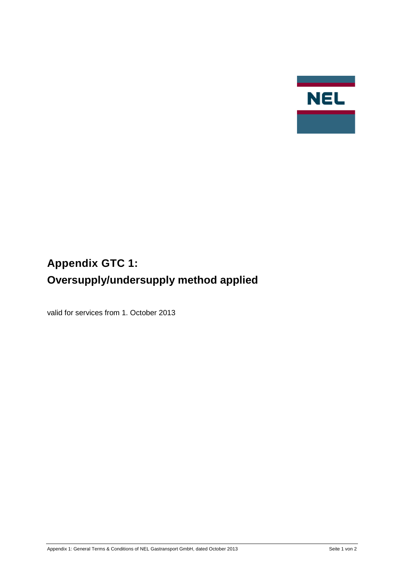

## **Appendix GTC 1: Oversupply/undersupply method applied**

valid for services from 1. October 2013